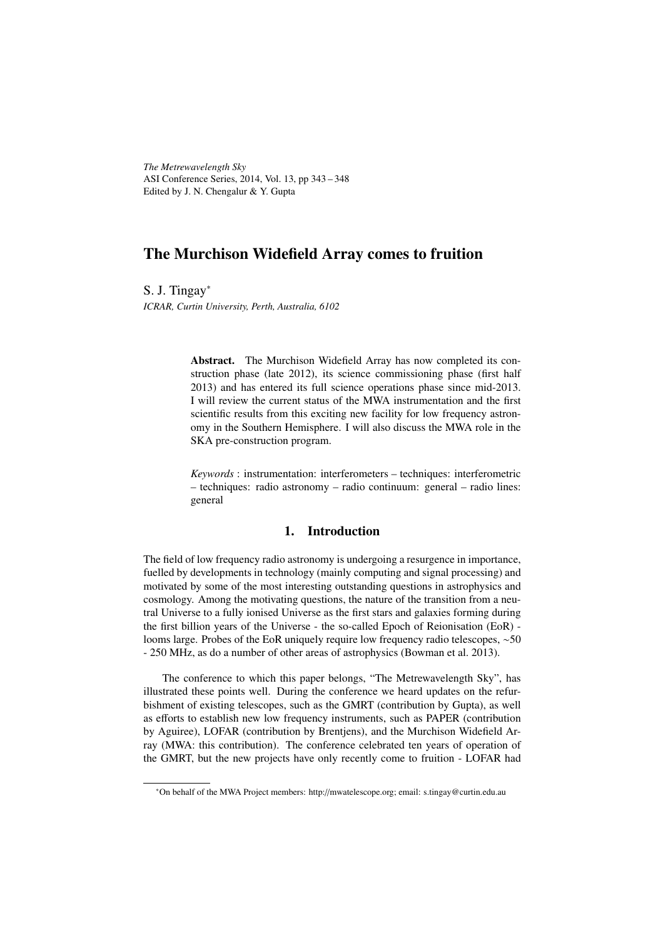*The Metrewavelength Sky* ASI Conference Series, 2014, Vol. 13, pp 343 – 348 Edited by J. N. Chengalur & Y. Gupta

# The Murchison Widefield Array comes to fruition

S. J. Tingay<sup>∗</sup> *ICRAR, Curtin University, Perth, Australia, 6102*

> Abstract. The Murchison Widefield Array has now completed its construction phase (late 2012), its science commissioning phase (first half 2013) and has entered its full science operations phase since mid-2013. I will review the current status of the MWA instrumentation and the first scientific results from this exciting new facility for low frequency astronomy in the Southern Hemisphere. I will also discuss the MWA role in the SKA pre-construction program.

> *Keywords* : instrumentation: interferometers – techniques: interferometric – techniques: radio astronomy – radio continuum: general – radio lines: general

### 1. Introduction

The field of low frequency radio astronomy is undergoing a resurgence in importance, fuelled by developments in technology (mainly computing and signal processing) and motivated by some of the most interesting outstanding questions in astrophysics and cosmology. Among the motivating questions, the nature of the transition from a neutral Universe to a fully ionised Universe as the first stars and galaxies forming during the first billion years of the Universe - the so-called Epoch of Reionisation (EoR) looms large. Probes of the EoR uniquely require low frequency radio telescopes, ∼50 - 250 MHz, as do a number of other areas of astrophysics (Bowman et al. 2013).

The conference to which this paper belongs, "The Metrewavelength Sky", has illustrated these points well. During the conference we heard updates on the refurbishment of existing telescopes, such as the GMRT (contribution by Gupta), as well as efforts to establish new low frequency instruments, such as PAPER (contribution by Aguiree), LOFAR (contribution by Brentjens), and the Murchison Widefield Array (MWA: this contribution). The conference celebrated ten years of operation of the GMRT, but the new projects have only recently come to fruition - LOFAR had

<sup>∗</sup>On behalf of the MWA Project members: http://mwatelescope.org; email: s.tingay@curtin.edu.au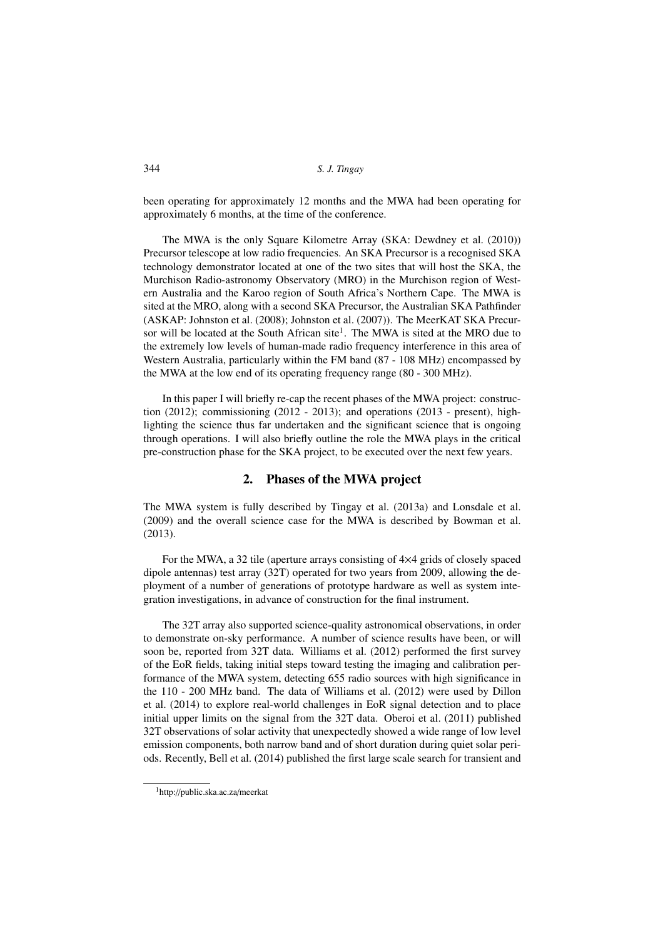been operating for approximately 12 months and the MWA had been operating for approximately 6 months, at the time of the conference.

The MWA is the only Square Kilometre Array (SKA: Dewdney et al. (2010)) Precursor telescope at low radio frequencies. An SKA Precursor is a recognised SKA technology demonstrator located at one of the two sites that will host the SKA, the Murchison Radio-astronomy Observatory (MRO) in the Murchison region of Western Australia and the Karoo region of South Africa's Northern Cape. The MWA is sited at the MRO, along with a second SKA Precursor, the Australian SKA Pathfinder (ASKAP: Johnston et al. (2008); Johnston et al. (2007)). The MeerKAT SKA Precursor will be located at the South African site<sup>1</sup>. The MWA is sited at the MRO due to the extremely low levels of human-made radio frequency interference in this area of Western Australia, particularly within the FM band (87 - 108 MHz) encompassed by the MWA at the low end of its operating frequency range (80 - 300 MHz).

In this paper I will briefly re-cap the recent phases of the MWA project: construction  $(2012)$ ; commissioning  $(2012 - 2013)$ ; and operations  $(2013 - \text{present})$ , highlighting the science thus far undertaken and the significant science that is ongoing through operations. I will also briefly outline the role the MWA plays in the critical pre-construction phase for the SKA project, to be executed over the next few years.

#### 2. Phases of the MWA project

The MWA system is fully described by Tingay et al. (2013a) and Lonsdale et al. (2009) and the overall science case for the MWA is described by Bowman et al. (2013).

For the MWA, a 32 tile (aperture arrays consisting of 4×4 grids of closely spaced dipole antennas) test array (32T) operated for two years from 2009, allowing the deployment of a number of generations of prototype hardware as well as system integration investigations, in advance of construction for the final instrument.

The 32T array also supported science-quality astronomical observations, in order to demonstrate on-sky performance. A number of science results have been, or will soon be, reported from 32T data. Williams et al. (2012) performed the first survey of the EoR fields, taking initial steps toward testing the imaging and calibration performance of the MWA system, detecting 655 radio sources with high significance in the 110 - 200 MHz band. The data of Williams et al. (2012) were used by Dillon et al. (2014) to explore real-world challenges in EoR signal detection and to place initial upper limits on the signal from the 32T data. Oberoi et al. (2011) published 32T observations of solar activity that unexpectedly showed a wide range of low level emission components, both narrow band and of short duration during quiet solar periods. Recently, Bell et al. (2014) published the first large scale search for transient and

<sup>1</sup>http://public.ska.ac.za/meerkat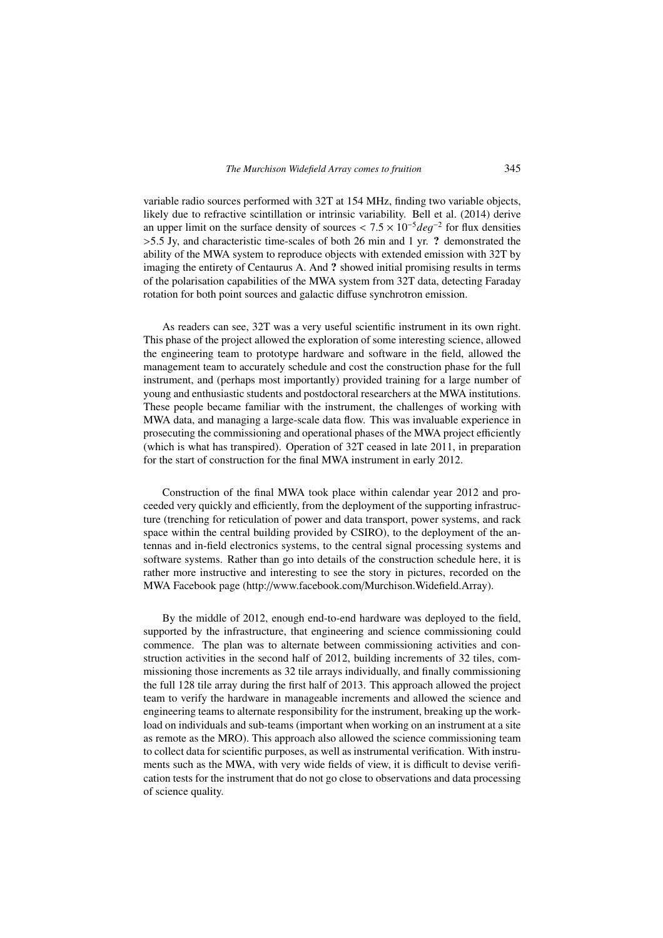variable radio sources performed with 32T at 154 MHz, finding two variable objects, likely due to refractive scintillation or intrinsic variability. Bell et al. (2014) derive an upper limit on the surface density of sources <  $7.5 \times 10^{-5}$  deg<sup>-2</sup> for flux densities  $>5.5$  Jy, and characteristic time-scales of both 26 min and 1 yr. ? demonstrated the ability of the MWA system to reproduce objects with extended emission with 32T by imaging the entirety of Centaurus A. And ? showed initial promising results in terms of the polarisation capabilities of the MWA system from 32T data, detecting Faraday rotation for both point sources and galactic diffuse synchrotron emission.

As readers can see, 32T was a very useful scientific instrument in its own right. This phase of the project allowed the exploration of some interesting science, allowed the engineering team to prototype hardware and software in the field, allowed the management team to accurately schedule and cost the construction phase for the full instrument, and (perhaps most importantly) provided training for a large number of young and enthusiastic students and postdoctoral researchers at the MWA institutions. These people became familiar with the instrument, the challenges of working with MWA data, and managing a large-scale data flow. This was invaluable experience in prosecuting the commissioning and operational phases of the MWA project efficiently (which is what has transpired). Operation of 32T ceased in late 2011, in preparation for the start of construction for the final MWA instrument in early 2012.

Construction of the final MWA took place within calendar year 2012 and proceeded very quickly and efficiently, from the deployment of the supporting infrastructure (trenching for reticulation of power and data transport, power systems, and rack space within the central building provided by CSIRO), to the deployment of the antennas and in-field electronics systems, to the central signal processing systems and software systems. Rather than go into details of the construction schedule here, it is rather more instructive and interesting to see the story in pictures, recorded on the MWA Facebook page (http://www.facebook.com/Murchison.Widefield.Array).

By the middle of 2012, enough end-to-end hardware was deployed to the field, supported by the infrastructure, that engineering and science commissioning could commence. The plan was to alternate between commissioning activities and construction activities in the second half of 2012, building increments of 32 tiles, commissioning those increments as 32 tile arrays individually, and finally commissioning the full 128 tile array during the first half of 2013. This approach allowed the project team to verify the hardware in manageable increments and allowed the science and engineering teams to alternate responsibility for the instrument, breaking up the workload on individuals and sub-teams (important when working on an instrument at a site as remote as the MRO). This approach also allowed the science commissioning team to collect data for scientific purposes, as well as instrumental verification. With instruments such as the MWA, with very wide fields of view, it is difficult to devise verification tests for the instrument that do not go close to observations and data processing of science quality.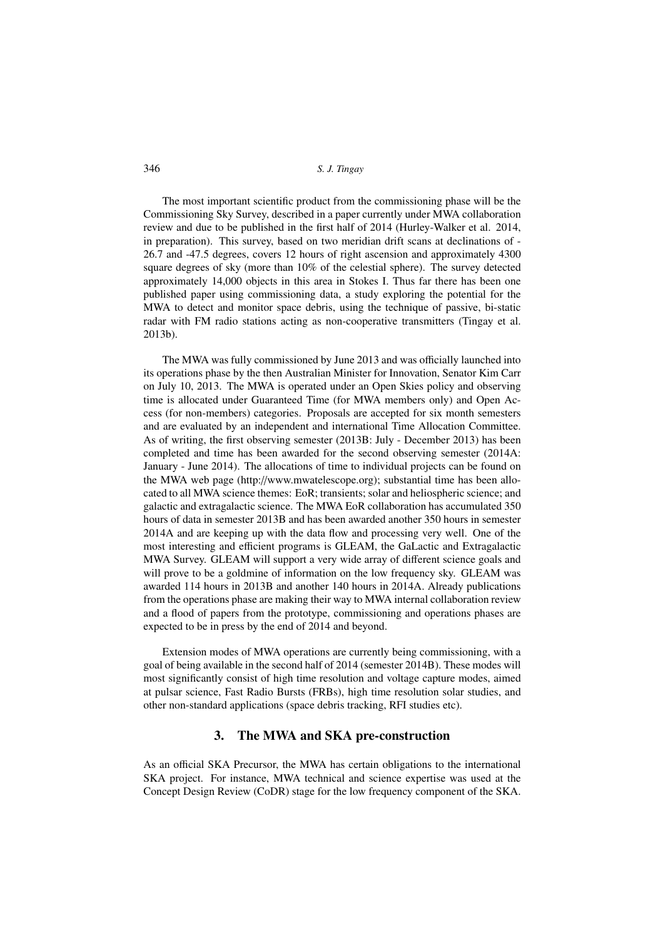346 *S. J. Tingay*

The most important scientific product from the commissioning phase will be the Commissioning Sky Survey, described in a paper currently under MWA collaboration review and due to be published in the first half of 2014 (Hurley-Walker et al. 2014, in preparation). This survey, based on two meridian drift scans at declinations of - 26.7 and -47.5 degrees, covers 12 hours of right ascension and approximately 4300 square degrees of sky (more than 10% of the celestial sphere). The survey detected approximately 14,000 objects in this area in Stokes I. Thus far there has been one published paper using commissioning data, a study exploring the potential for the MWA to detect and monitor space debris, using the technique of passive, bi-static radar with FM radio stations acting as non-cooperative transmitters (Tingay et al. 2013b).

The MWA was fully commissioned by June 2013 and was officially launched into its operations phase by the then Australian Minister for Innovation, Senator Kim Carr on July 10, 2013. The MWA is operated under an Open Skies policy and observing time is allocated under Guaranteed Time (for MWA members only) and Open Access (for non-members) categories. Proposals are accepted for six month semesters and are evaluated by an independent and international Time Allocation Committee. As of writing, the first observing semester (2013B: July - December 2013) has been completed and time has been awarded for the second observing semester (2014A: January - June 2014). The allocations of time to individual projects can be found on the MWA web page (http://www.mwatelescope.org); substantial time has been allocated to all MWA science themes: EoR; transients; solar and heliospheric science; and galactic and extragalactic science. The MWA EoR collaboration has accumulated 350 hours of data in semester 2013B and has been awarded another 350 hours in semester 2014A and are keeping up with the data flow and processing very well. One of the most interesting and efficient programs is GLEAM, the GaLactic and Extragalactic MWA Survey. GLEAM will support a very wide array of different science goals and will prove to be a goldmine of information on the low frequency sky. GLEAM was awarded 114 hours in 2013B and another 140 hours in 2014A. Already publications from the operations phase are making their way to MWA internal collaboration review and a flood of papers from the prototype, commissioning and operations phases are expected to be in press by the end of 2014 and beyond.

Extension modes of MWA operations are currently being commissioning, with a goal of being available in the second half of 2014 (semester 2014B). These modes will most significantly consist of high time resolution and voltage capture modes, aimed at pulsar science, Fast Radio Bursts (FRBs), high time resolution solar studies, and other non-standard applications (space debris tracking, RFI studies etc).

## 3. The MWA and SKA pre-construction

As an official SKA Precursor, the MWA has certain obligations to the international SKA project. For instance, MWA technical and science expertise was used at the Concept Design Review (CoDR) stage for the low frequency component of the SKA.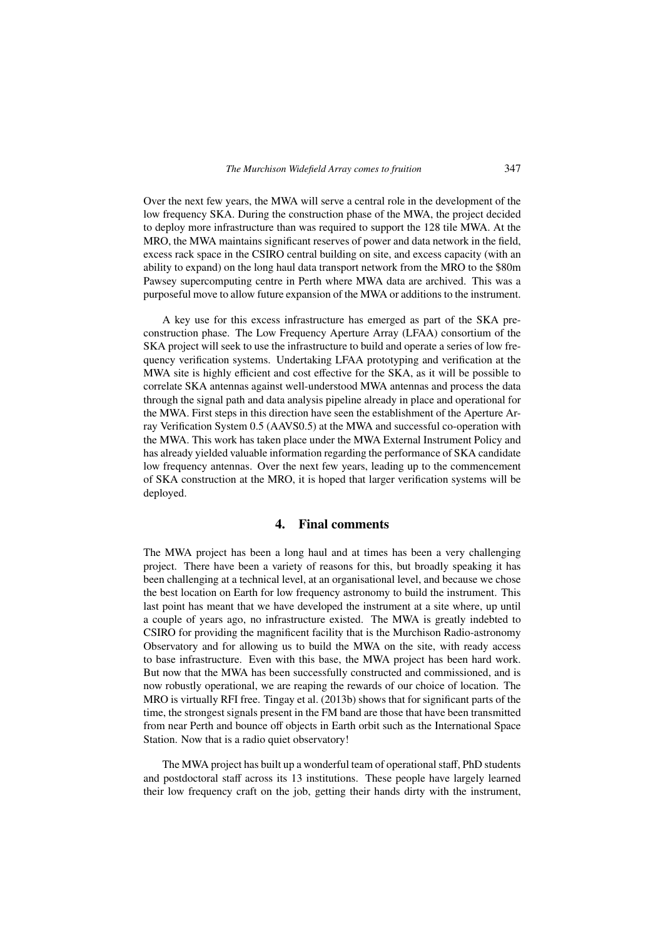Over the next few years, the MWA will serve a central role in the development of the low frequency SKA. During the construction phase of the MWA, the project decided to deploy more infrastructure than was required to support the 128 tile MWA. At the MRO, the MWA maintains significant reserves of power and data network in the field, excess rack space in the CSIRO central building on site, and excess capacity (with an ability to expand) on the long haul data transport network from the MRO to the \$80m Pawsey supercomputing centre in Perth where MWA data are archived. This was a purposeful move to allow future expansion of the MWA or additions to the instrument.

A key use for this excess infrastructure has emerged as part of the SKA preconstruction phase. The Low Frequency Aperture Array (LFAA) consortium of the SKA project will seek to use the infrastructure to build and operate a series of low frequency verification systems. Undertaking LFAA prototyping and verification at the MWA site is highly efficient and cost effective for the SKA, as it will be possible to correlate SKA antennas against well-understood MWA antennas and process the data through the signal path and data analysis pipeline already in place and operational for the MWA. First steps in this direction have seen the establishment of the Aperture Array Verification System 0.5 (AAVS0.5) at the MWA and successful co-operation with the MWA. This work has taken place under the MWA External Instrument Policy and has already yielded valuable information regarding the performance of SKA candidate low frequency antennas. Over the next few years, leading up to the commencement of SKA construction at the MRO, it is hoped that larger verification systems will be deployed.

#### 4. Final comments

The MWA project has been a long haul and at times has been a very challenging project. There have been a variety of reasons for this, but broadly speaking it has been challenging at a technical level, at an organisational level, and because we chose the best location on Earth for low frequency astronomy to build the instrument. This last point has meant that we have developed the instrument at a site where, up until a couple of years ago, no infrastructure existed. The MWA is greatly indebted to CSIRO for providing the magnificent facility that is the Murchison Radio-astronomy Observatory and for allowing us to build the MWA on the site, with ready access to base infrastructure. Even with this base, the MWA project has been hard work. But now that the MWA has been successfully constructed and commissioned, and is now robustly operational, we are reaping the rewards of our choice of location. The MRO is virtually RFI free. Tingay et al. (2013b) shows that for significant parts of the time, the strongest signals present in the FM band are those that have been transmitted from near Perth and bounce off objects in Earth orbit such as the International Space Station. Now that is a radio quiet observatory!

The MWA project has built up a wonderful team of operational staff, PhD students and postdoctoral staff across its 13 institutions. These people have largely learned their low frequency craft on the job, getting their hands dirty with the instrument,